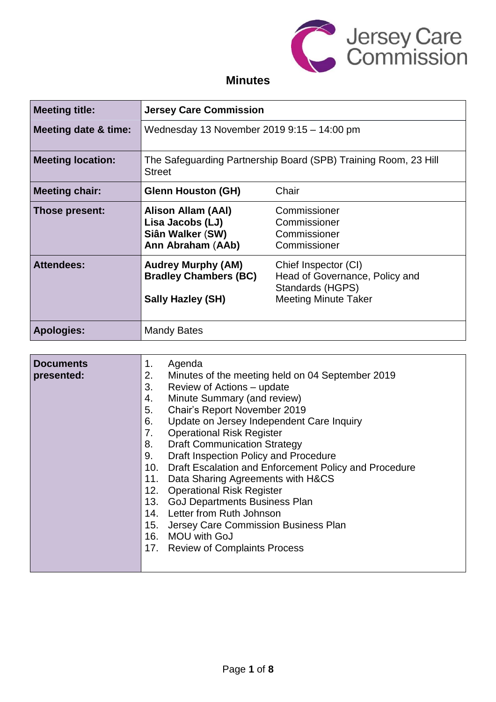

## **Minutes**

| <b>Meeting title:</b>           | <b>Jersey Care Commission</b>                                                                                                                                                                                                                                                                                                                                                                                                                                                                                                                                                                                                                                                                                                         |                                                                                                           |  |
|---------------------------------|---------------------------------------------------------------------------------------------------------------------------------------------------------------------------------------------------------------------------------------------------------------------------------------------------------------------------------------------------------------------------------------------------------------------------------------------------------------------------------------------------------------------------------------------------------------------------------------------------------------------------------------------------------------------------------------------------------------------------------------|-----------------------------------------------------------------------------------------------------------|--|
| <b>Meeting date &amp; time:</b> | Wednesday 13 November 2019 9:15 - 14:00 pm                                                                                                                                                                                                                                                                                                                                                                                                                                                                                                                                                                                                                                                                                            |                                                                                                           |  |
| <b>Meeting location:</b>        | The Safeguarding Partnership Board (SPB) Training Room, 23 Hill<br><b>Street</b>                                                                                                                                                                                                                                                                                                                                                                                                                                                                                                                                                                                                                                                      |                                                                                                           |  |
| <b>Meeting chair:</b>           | <b>Glenn Houston (GH)</b>                                                                                                                                                                                                                                                                                                                                                                                                                                                                                                                                                                                                                                                                                                             | Chair                                                                                                     |  |
| Those present:                  | <b>Alison Allam (AAI)</b><br>Lisa Jacobs (LJ)<br>Siân Walker (SW)<br>Ann Abraham (AAb)                                                                                                                                                                                                                                                                                                                                                                                                                                                                                                                                                                                                                                                | Commissioner<br>Commissioner<br>Commissioner<br>Commissioner                                              |  |
| <b>Attendees:</b>               | <b>Audrey Murphy (AM)</b><br><b>Bradley Chambers (BC)</b><br><b>Sally Hazley (SH)</b>                                                                                                                                                                                                                                                                                                                                                                                                                                                                                                                                                                                                                                                 | Chief Inspector (CI)<br>Head of Governance, Policy and<br>Standards (HGPS)<br><b>Meeting Minute Taker</b> |  |
| <b>Apologies:</b>               | <b>Mandy Bates</b>                                                                                                                                                                                                                                                                                                                                                                                                                                                                                                                                                                                                                                                                                                                    |                                                                                                           |  |
| <b>Documents</b><br>presented:  | Agenda<br>1.<br>2.<br>Minutes of the meeting held on 04 September 2019<br>3.<br>Review of Actions - update<br>Minute Summary (and review)<br>4.<br>Chair's Report November 2019<br>5.<br>Update on Jersey Independent Care Inquiry<br>6.<br><b>Operational Risk Register</b><br>7.<br><b>Draft Communication Strategy</b><br>8.<br>Draft Inspection Policy and Procedure<br>9.<br>Draft Escalation and Enforcement Policy and Procedure<br>10.<br>Data Sharing Agreements with H&CS<br>11.<br>12.<br><b>Operational Risk Register</b><br><b>GoJ Departments Business Plan</b><br>13.<br>14. Letter from Ruth Johnson<br>Jersey Care Commission Business Plan<br>15.<br>16.<br><b>MOU with GoJ</b><br>17. Review of Complaints Process |                                                                                                           |  |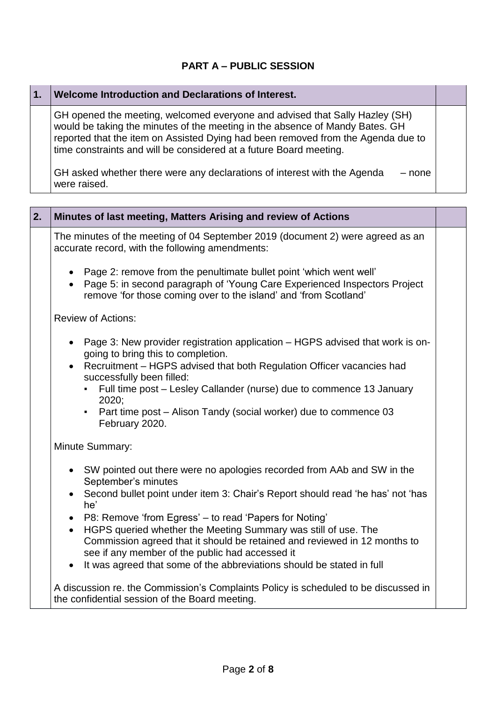### **PART A – PUBLIC SESSION**

| Welcome Introduction and Declarations of Interest.                                                                                                                                                                                                                                                                    |  |
|-----------------------------------------------------------------------------------------------------------------------------------------------------------------------------------------------------------------------------------------------------------------------------------------------------------------------|--|
| GH opened the meeting, welcomed everyone and advised that Sally Hazley (SH)<br>would be taking the minutes of the meeting in the absence of Mandy Bates. GH<br>reported that the item on Assisted Dying had been removed from the Agenda due to<br>time constraints and will be considered at a future Board meeting. |  |
| GH asked whether there were any declarations of interest with the Agenda<br>– none<br>were raised.                                                                                                                                                                                                                    |  |

L,

Ē.

| 2. | Minutes of last meeting, Matters Arising and review of Actions                                                                                                                                                                                |  |  |
|----|-----------------------------------------------------------------------------------------------------------------------------------------------------------------------------------------------------------------------------------------------|--|--|
|    | The minutes of the meeting of 04 September 2019 (document 2) were agreed as an<br>accurate record, with the following amendments:                                                                                                             |  |  |
|    | Page 2: remove from the penultimate bullet point 'which went well'<br>$\bullet$<br>Page 5: in second paragraph of 'Young Care Experienced Inspectors Project<br>$\bullet$<br>remove 'for those coming over to the island' and 'from Scotland' |  |  |
|    | <b>Review of Actions:</b>                                                                                                                                                                                                                     |  |  |
|    | Page 3: New provider registration application – HGPS advised that work is on-<br>$\bullet$<br>going to bring this to completion.                                                                                                              |  |  |
|    | Recruitment - HGPS advised that both Regulation Officer vacancies had<br>$\bullet$<br>successfully been filled:                                                                                                                               |  |  |
|    | Full time post - Lesley Callander (nurse) due to commence 13 January<br>2020;                                                                                                                                                                 |  |  |
|    | Part time post – Alison Tandy (social worker) due to commence 03<br>February 2020.                                                                                                                                                            |  |  |
|    | Minute Summary:                                                                                                                                                                                                                               |  |  |
|    | SW pointed out there were no apologies recorded from AAb and SW in the<br>$\bullet$<br>September's minutes                                                                                                                                    |  |  |
|    | Second bullet point under item 3: Chair's Report should read 'he has' not 'has<br>he'                                                                                                                                                         |  |  |
|    | P8: Remove 'from Egress' - to read 'Papers for Noting'<br>$\bullet$                                                                                                                                                                           |  |  |
|    | HGPS queried whether the Meeting Summary was still of use. The<br>$\bullet$<br>Commission agreed that it should be retained and reviewed in 12 months to<br>see if any member of the public had accessed it                                   |  |  |
|    | It was agreed that some of the abbreviations should be stated in full<br>$\bullet$                                                                                                                                                            |  |  |
|    | A discussion re. the Commission's Complaints Policy is scheduled to be discussed in<br>the confidential session of the Board meeting.                                                                                                         |  |  |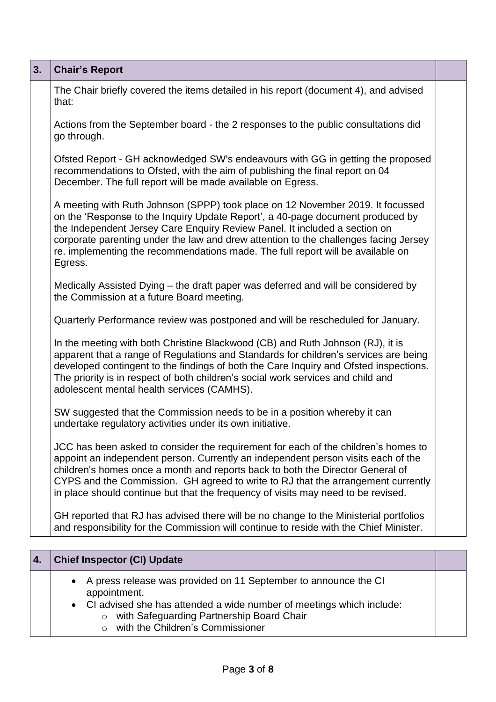| 3. | <b>Chair's Report</b>                                                                                                                                                                                                                                                                                                                                                                                                                |  |
|----|--------------------------------------------------------------------------------------------------------------------------------------------------------------------------------------------------------------------------------------------------------------------------------------------------------------------------------------------------------------------------------------------------------------------------------------|--|
|    | The Chair briefly covered the items detailed in his report (document 4), and advised<br>that:                                                                                                                                                                                                                                                                                                                                        |  |
|    | Actions from the September board - the 2 responses to the public consultations did<br>go through.                                                                                                                                                                                                                                                                                                                                    |  |
|    | Ofsted Report - GH acknowledged SW's endeavours with GG in getting the proposed<br>recommendations to Ofsted, with the aim of publishing the final report on 04<br>December. The full report will be made available on Egress.                                                                                                                                                                                                       |  |
|    | A meeting with Ruth Johnson (SPPP) took place on 12 November 2019. It focussed<br>on the 'Response to the Inquiry Update Report', a 40-page document produced by<br>the Independent Jersey Care Enquiry Review Panel. It included a section on<br>corporate parenting under the law and drew attention to the challenges facing Jersey<br>re. implementing the recommendations made. The full report will be available on<br>Egress. |  |
|    | Medically Assisted Dying – the draft paper was deferred and will be considered by<br>the Commission at a future Board meeting.                                                                                                                                                                                                                                                                                                       |  |
|    | Quarterly Performance review was postponed and will be rescheduled for January.                                                                                                                                                                                                                                                                                                                                                      |  |
|    | In the meeting with both Christine Blackwood (CB) and Ruth Johnson (RJ), it is<br>apparent that a range of Regulations and Standards for children's services are being<br>developed contingent to the findings of both the Care Inquiry and Ofsted inspections.<br>The priority is in respect of both children's social work services and child and<br>adolescent mental health services (CAMHS).                                    |  |
|    | SW suggested that the Commission needs to be in a position whereby it can<br>undertake regulatory activities under its own initiative.                                                                                                                                                                                                                                                                                               |  |
|    | JCC has been asked to consider the requirement for each of the children's homes to<br>appoint an independent person. Currently an independent person visits each of the<br>children's homes once a month and reports back to both the Director General of<br>CYPS and the Commission. GH agreed to write to RJ that the arrangement currently<br>in place should continue but that the frequency of visits may need to be revised.   |  |
|    | GH reported that RJ has advised there will be no change to the Ministerial portfolios<br>and responsibility for the Commission will continue to reside with the Chief Minister.                                                                                                                                                                                                                                                      |  |
|    |                                                                                                                                                                                                                                                                                                                                                                                                                                      |  |
| 4. | <b>Chief Inspector (CI) Update</b>                                                                                                                                                                                                                                                                                                                                                                                                   |  |
|    | A press release was provided on 11 September to announce the CI                                                                                                                                                                                                                                                                                                                                                                      |  |

- appointment.
- CI advised she has attended a wide number of meetings which include:
	- o with Safeguarding Partnership Board Chair
	- o with the Children's Commissioner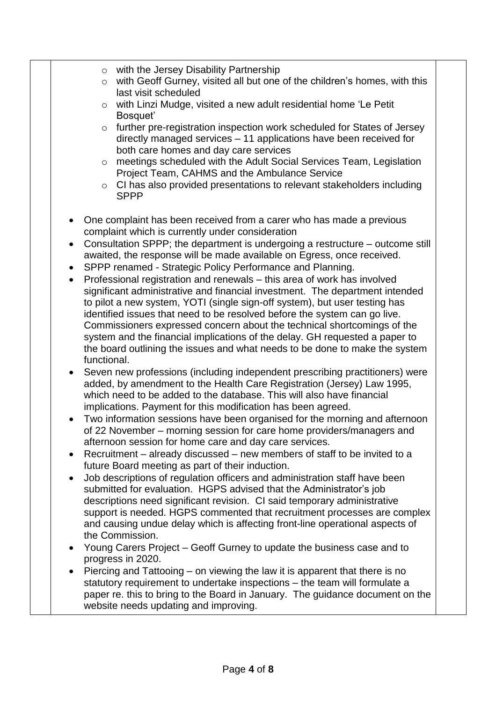- o with the Jersey Disability Partnership
- o with Geoff Gurney, visited all but one of the children's homes, with this last visit scheduled
- o with Linzi Mudge, visited a new adult residential home 'Le Petit Bosquet'
- o further pre-registration inspection work scheduled for States of Jersey directly managed services – 11 applications have been received for both care homes and day care services
- o meetings scheduled with the Adult Social Services Team, Legislation Project Team, CAHMS and the Ambulance Service
- o CI has also provided presentations to relevant stakeholders including SPPP
- One complaint has been received from a carer who has made a previous complaint which is currently under consideration
- Consultation SPPP; the department is undergoing a restructure outcome still awaited, the response will be made available on Egress, once received.
- SPPP renamed Strategic Policy Performance and Planning.
- Professional registration and renewals this area of work has involved significant administrative and financial investment. The department intended to pilot a new system, YOTI (single sign-off system), but user testing has identified issues that need to be resolved before the system can go live. Commissioners expressed concern about the technical shortcomings of the system and the financial implications of the delay. GH requested a paper to the board outlining the issues and what needs to be done to make the system functional.
- Seven new professions (including independent prescribing practitioners) were added, by amendment to the Health Care Registration (Jersey) Law 1995, which need to be added to the database. This will also have financial implications. Payment for this modification has been agreed.
- Two information sessions have been organised for the morning and afternoon of 22 November – morning session for care home providers/managers and afternoon session for home care and day care services.
- Recruitment already discussed new members of staff to be invited to a future Board meeting as part of their induction.
- Job descriptions of regulation officers and administration staff have been submitted for evaluation. HGPS advised that the Administrator's job descriptions need significant revision. CI said temporary administrative support is needed. HGPS commented that recruitment processes are complex and causing undue delay which is affecting front-line operational aspects of the Commission.
- Young Carers Project Geoff Gurney to update the business case and to progress in 2020.
- Piercing and Tattooing on viewing the law it is apparent that there is no statutory requirement to undertake inspections – the team will formulate a paper re. this to bring to the Board in January. The guidance document on the website needs updating and improving.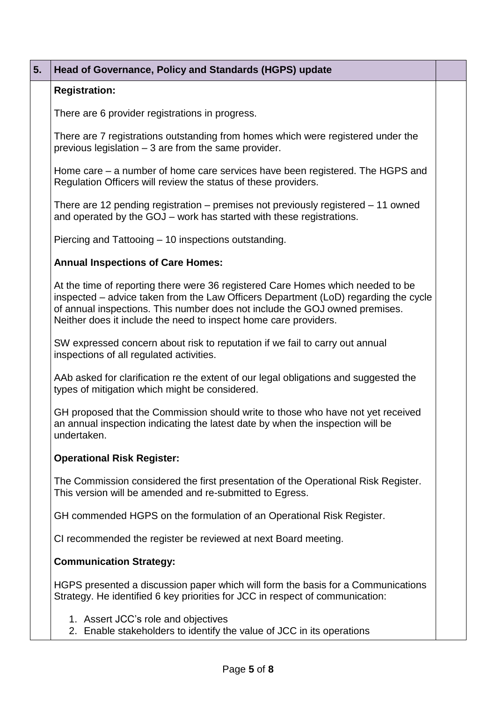# **5. Head of Governance, Policy and Standards (HGPS) update Registration:** There are 6 provider registrations in progress. There are 7 registrations outstanding from homes which were registered under the previous legislation – 3 are from the same provider. Home care – a number of home care services have been registered. The HGPS and Regulation Officers will review the status of these providers. There are 12 pending registration – premises not previously registered – 11 owned and operated by the GOJ – work has started with these registrations.

Piercing and Tattooing – 10 inspections outstanding.

#### **Annual Inspections of Care Homes:**

At the time of reporting there were 36 registered Care Homes which needed to be inspected – advice taken from the Law Officers Department (LoD) regarding the cycle of annual inspections. This number does not include the GOJ owned premises. Neither does it include the need to inspect home care providers.

SW expressed concern about risk to reputation if we fail to carry out annual inspections of all regulated activities.

AAb asked for clarification re the extent of our legal obligations and suggested the types of mitigation which might be considered.

GH proposed that the Commission should write to those who have not yet received an annual inspection indicating the latest date by when the inspection will be undertaken.

#### **Operational Risk Register:**

The Commission considered the first presentation of the Operational Risk Register. This version will be amended and re-submitted to Egress.

GH commended HGPS on the formulation of an Operational Risk Register.

CI recommended the register be reviewed at next Board meeting.

#### **Communication Strategy:**

HGPS presented a discussion paper which will form the basis for a Communications Strategy. He identified 6 key priorities for JCC in respect of communication:

- 1. Assert JCC's role and objectives
- 2. Enable stakeholders to identify the value of JCC in its operations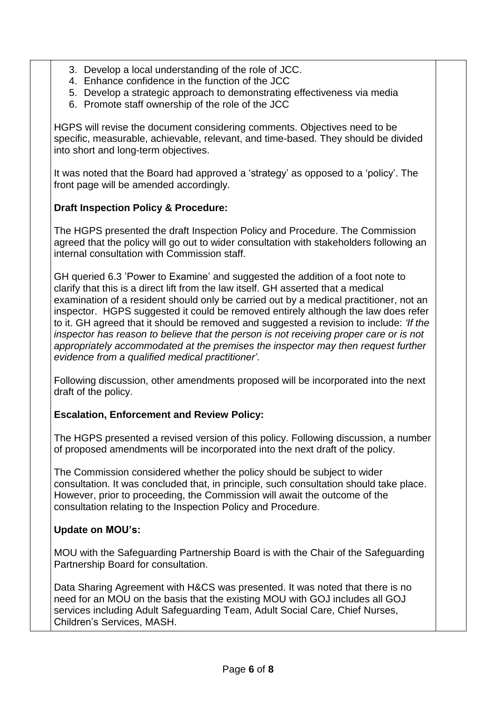- 3. Develop a local understanding of the role of JCC.
- 4. Enhance confidence in the function of the JCC
- 5. Develop a strategic approach to demonstrating effectiveness via media
- 6. Promote staff ownership of the role of the JCC

HGPS will revise the document considering comments. Objectives need to be specific, measurable, achievable, relevant, and time-based. They should be divided into short and long-term objectives.

It was noted that the Board had approved a 'strategy' as opposed to a 'policy'. The front page will be amended accordingly.

#### **Draft Inspection Policy & Procedure:**

The HGPS presented the draft Inspection Policy and Procedure. The Commission agreed that the policy will go out to wider consultation with stakeholders following an internal consultation with Commission staff.

GH queried 6.3 'Power to Examine' and suggested the addition of a foot note to clarify that this is a direct lift from the law itself. GH asserted that a medical examination of a resident should only be carried out by a medical practitioner, not an inspector. HGPS suggested it could be removed entirely although the law does refer to it. GH agreed that it should be removed and suggested a revision to include: *'If the inspector has reason to believe that the person is not receiving proper care or is not appropriately accommodated at the premises the inspector may then request further evidence from a qualified medical practitioner'*.

Following discussion, other amendments proposed will be incorporated into the next draft of the policy.

#### **Escalation, Enforcement and Review Policy:**

The HGPS presented a revised version of this policy. Following discussion, a number of proposed amendments will be incorporated into the next draft of the policy.

The Commission considered whether the policy should be subject to wider consultation. It was concluded that, in principle, such consultation should take place. However, prior to proceeding, the Commission will await the outcome of the consultation relating to the Inspection Policy and Procedure.

#### **Update on MOU's:**

MOU with the Safeguarding Partnership Board is with the Chair of the Safeguarding Partnership Board for consultation.

Data Sharing Agreement with H&CS was presented. It was noted that there is no need for an MOU on the basis that the existing MOU with GOJ includes all GOJ services including Adult Safeguarding Team, Adult Social Care, Chief Nurses, Children's Services, MASH.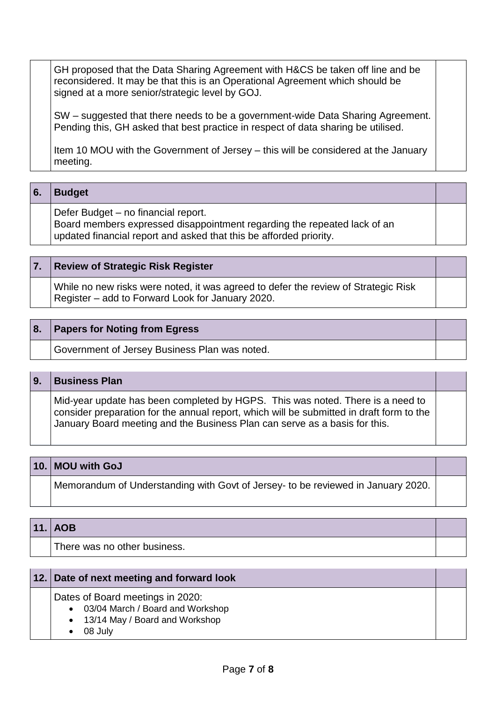GH proposed that the Data Sharing Agreement with H&CS be taken off line and be reconsidered. It may be that this is an Operational Agreement which should be signed at a more senior/strategic level by GOJ.

SW – suggested that there needs to be a government-wide Data Sharing Agreement. Pending this, GH asked that best practice in respect of data sharing be utilised.

Item 10 MOU with the Government of Jersey – this will be considered at the January meeting.

#### **6. Budget**

Defer Budget – no financial report.

Board members expressed disappointment regarding the repeated lack of an updated financial report and asked that this be afforded priority.

#### **7. Review of Strategic Risk Register**

While no new risks were noted, it was agreed to defer the review of Strategic Risk Register – add to Forward Look for January 2020.

#### **8. Papers for Noting from Egress**

Government of Jersey Business Plan was noted.

#### **9. Business Plan**

Mid-year update has been completed by HGPS. This was noted. There is a need to consider preparation for the annual report, which will be submitted in draft form to the January Board meeting and the Business Plan can serve as a basis for this.

#### **10. MOU with GoJ**

Memorandum of Understanding with Govt of Jersey- to be reviewed in January 2020.

#### **11. AOB**

There was no other business.

| 12. Date of next meeting and forward look |  |
|-------------------------------------------|--|
| Dates of Board meetings in 2020:          |  |
| • 03/04 March / Board and Workshop        |  |
| • 13/14 May / Board and Workshop          |  |
| 08 July                                   |  |